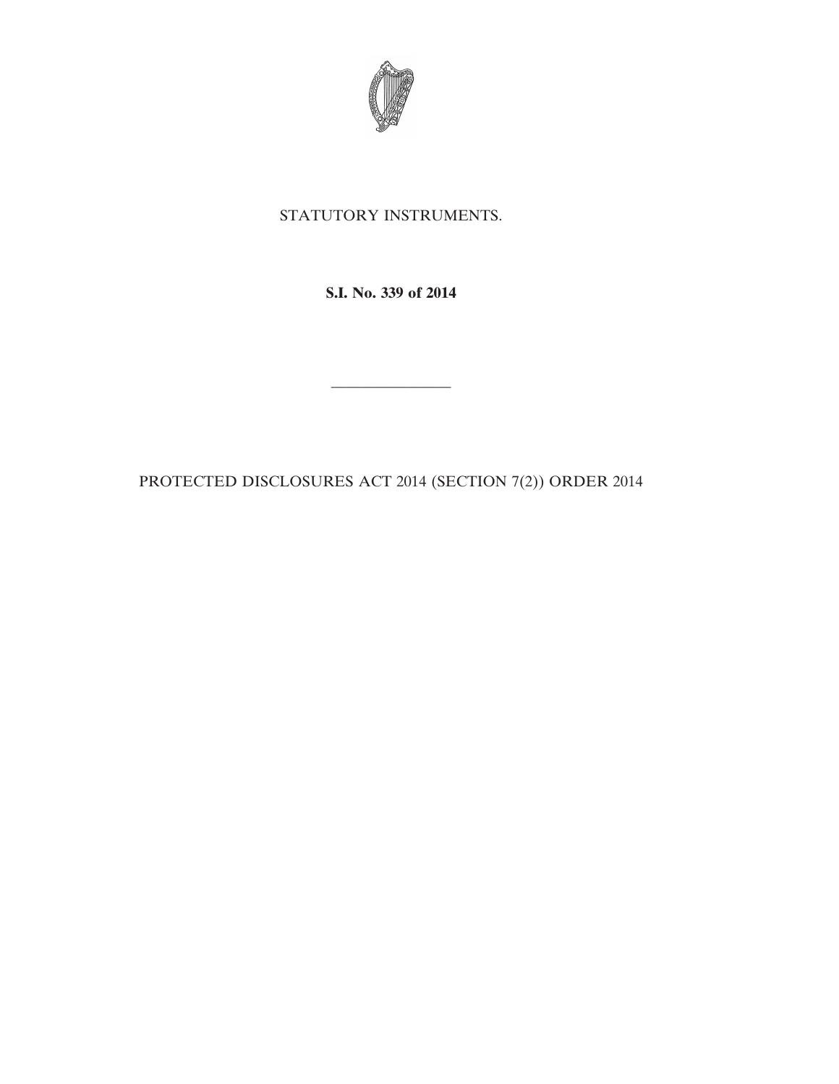

### STATUTORY INSTRUMENTS.

**S.I. No. 339 of 2014**

PROTECTED DISCLOSURES ACT 2014 (SECTION 7(2)) ORDER 2014

————————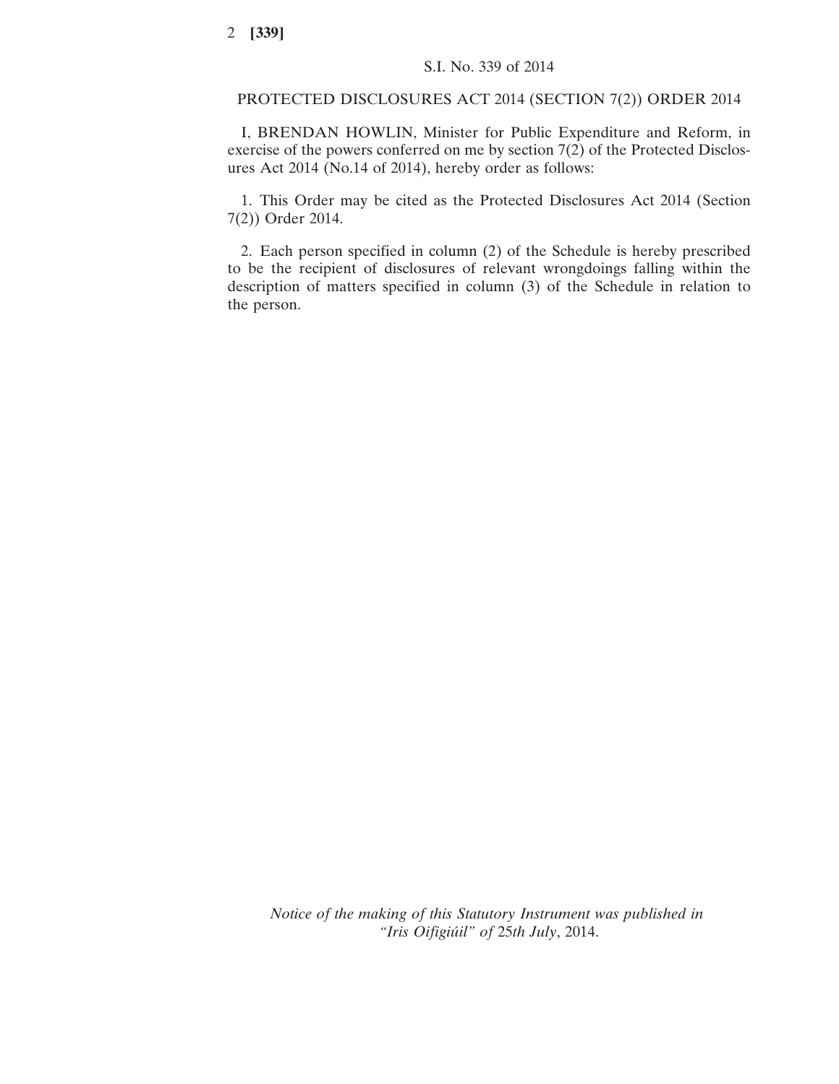#### PROTECTED DISCLOSURES ACT 2014 (SECTION 7(2)) ORDER 2014

I, BRENDAN HOWLIN, Minister for Public Expenditure and Reform, in exercise of the powers conferred on me by section 7(2) of the Protected Disclosures Act 2014 (No.14 of 2014), hereby order as follows:

1. This Order may be cited as the Protected Disclosures Act 2014 (Section 7(2)) Order 2014.

2. Each person specified in column (2) of the Schedule is hereby prescribed to be the recipient of disclosures of relevant wrongdoings falling within the description of matters specified in column (3) of the Schedule in relation to the person.

*Notice of the making of this Statutory Instrument was published in "Iris Oifigiúil" of* 25*th July*, 2014.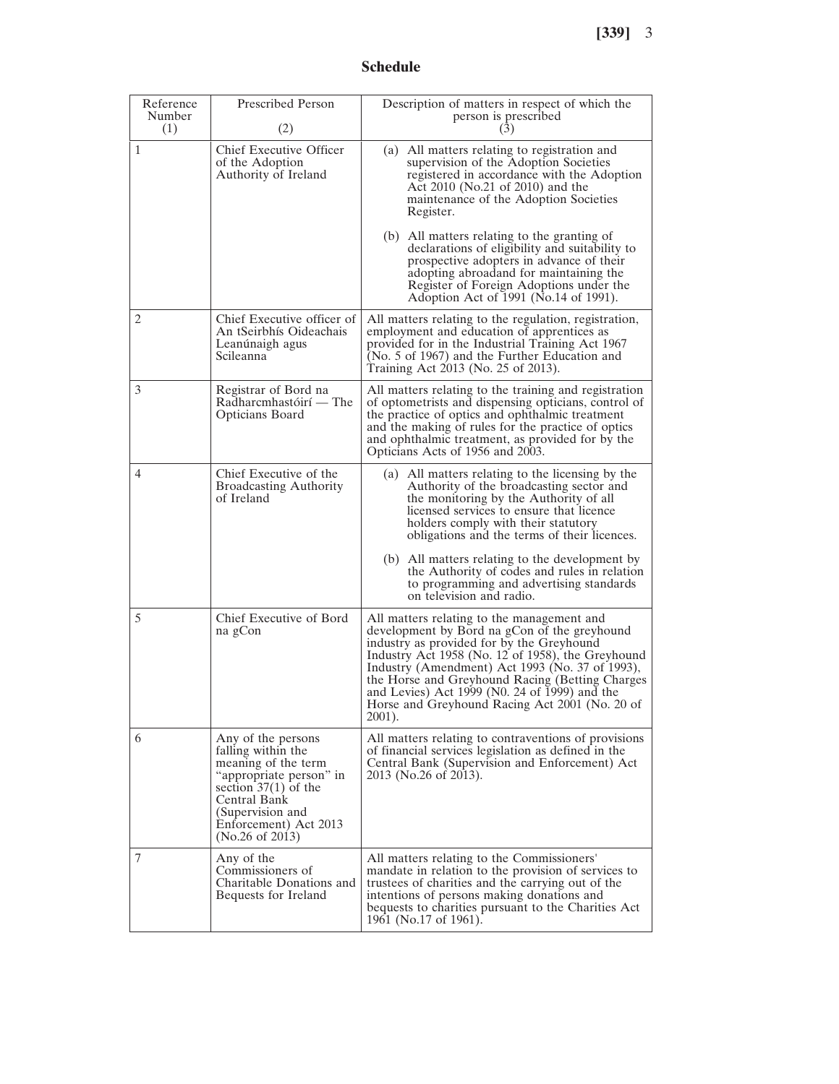#### **Schedule**

| Reference<br>Number<br>(1) | <b>Prescribed Person</b><br>(2)                                                                                                                                                                      | Description of matters in respect of which the<br>person is prescribed<br>(3)                                                                                                                                                                                                                                                                                                                                                                                                                            |
|----------------------------|------------------------------------------------------------------------------------------------------------------------------------------------------------------------------------------------------|----------------------------------------------------------------------------------------------------------------------------------------------------------------------------------------------------------------------------------------------------------------------------------------------------------------------------------------------------------------------------------------------------------------------------------------------------------------------------------------------------------|
| 1                          | Chief Executive Officer<br>of the Adoption<br>Authority of Ireland                                                                                                                                   | (a) All matters relating to registration and<br>supervision of the Adoption Societies<br>registered in accordance with the Adoption<br>Act 2010 (No.21 of 2010) and the<br>maintenance of the Adoption Societies<br>Register.<br>(b) All matters relating to the granting of<br>declarations of eligibility and suitability to<br>prospective adopters in advance of their<br>adopting abroadand for maintaining the<br>Register of Foreign Adoptions under the<br>Adoption Act of 1991 (No.14 of 1991). |
| 2                          | Chief Executive officer of<br>An tSeirbhís Oideachais<br>Leanúnaigh agus<br>Scileanna                                                                                                                | All matters relating to the regulation, registration,<br>employment and education of apprentices as<br>provided for in the Industrial Training Act 1967<br>(No. 5 of 1967) and the Further Education and<br>Training Act 2013 (No. 25 of 2013).                                                                                                                                                                                                                                                          |
| 3                          | Registrar of Bord na<br>Radharcmhastóirí — The<br>Opticians Board                                                                                                                                    | All matters relating to the training and registration<br>of optometrists and dispensing opticians, control of<br>the practice of optics and ophthalmic treatment<br>and the making of rules for the practice of optics<br>and ophthalmic treatment, as provided for by the<br>Opticians Acts of 1956 and 2003.                                                                                                                                                                                           |
| 4                          | Chief Executive of the<br><b>Broadcasting Authority</b><br>of Ireland                                                                                                                                | (a) All matters relating to the licensing by the<br>Authority of the broadcasting sector and<br>the monitoring by the Authority of all<br>licensed services to ensure that licence<br>holders comply with their statutory<br>obligations and the terms of their licences.<br>(b) All matters relating to the development by<br>the Authority of codes and rules in relation<br>to programming and advertising standards<br>on television and radio.                                                      |
| 5                          | Chief Executive of Bord<br>na gCon                                                                                                                                                                   | All matters relating to the management and<br>development by Bord na gCon of the greyhound<br>industry as provided for by the Greyhound<br>Industry Act 1958 (No. 12 of 1958), the Greyhound<br>Industry (Amendment) Act 1993 (No. 37 of 1993),<br>the Horse and Greyhound Racing (Betting Charges<br>and Levies) Act 1999 (N0. 24 of 1999) and the<br>Horse and Greyhound Racing Act 2001 (No. 20 of<br>2001).                                                                                          |
| 6                          | Any of the persons<br>falling within the<br>meaning of the term<br>"appropriate person" in<br>section $37(1)$ of the<br>Central Bank<br>(Supervision and<br>Enforcement) Act 2013<br>(No.26 of 2013) | All matters relating to contraventions of provisions<br>of financial services legislation as defined in the<br>Central Bank (Supervision and Enforcement) Act<br>2013 (No.26 of 2013).                                                                                                                                                                                                                                                                                                                   |
| 7                          | Any of the<br>Commissioners of<br>Charitable Donations and<br>Bequests for Ireland                                                                                                                   | All matters relating to the Commissioners'<br>mandate in relation to the provision of services to<br>trustees of charities and the carrying out of the<br>intentions of persons making donations and<br>bequests to charities pursuant to the Charities Act<br>1961 (No.17 of 1961).                                                                                                                                                                                                                     |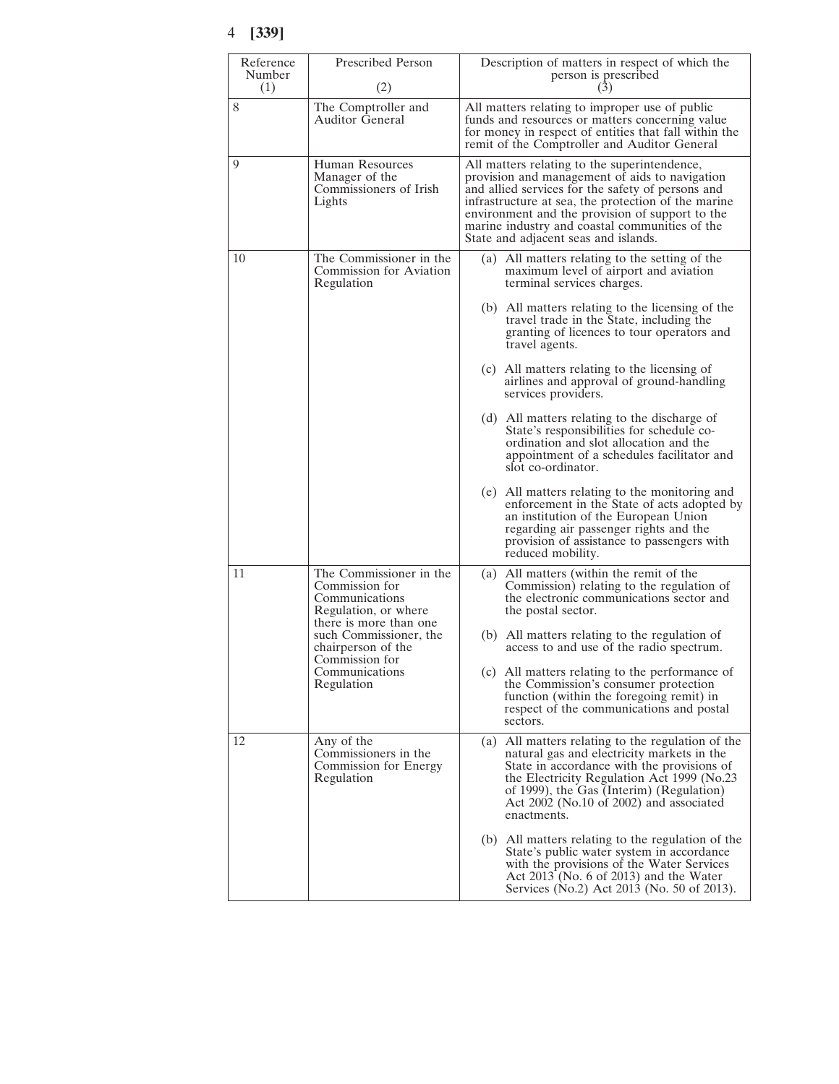| Reference<br>Number<br>(1)         | <b>Prescribed Person</b><br>(2)                                                                                                                               | Description of matters in respect of which the<br>person is prescribed<br>(3)                                                                                                                                                                                                                                                                           |
|------------------------------------|---------------------------------------------------------------------------------------------------------------------------------------------------------------|---------------------------------------------------------------------------------------------------------------------------------------------------------------------------------------------------------------------------------------------------------------------------------------------------------------------------------------------------------|
| 8                                  | The Comptroller and<br><b>Auditor General</b>                                                                                                                 | All matters relating to improper use of public<br>funds and resources or matters concerning value<br>for money in respect of entities that fall within the<br>remit of the Comptroller and Auditor General                                                                                                                                              |
| 9                                  | Human Resources<br>Manager of the<br>Commissioners of Irish<br>Lights                                                                                         | All matters relating to the superintendence,<br>provision and management of aids to navigation<br>and allied services for the safety of persons and<br>infrastructure at sea, the protection of the marine<br>environment and the provision of support to the<br>marine industry and coastal communities of the<br>State and adjacent seas and islands. |
| 10                                 | The Commissioner in the<br>Commission for Aviation<br>Regulation                                                                                              | (a) All matters relating to the setting of the<br>maximum level of airport and aviation<br>terminal services charges.                                                                                                                                                                                                                                   |
|                                    |                                                                                                                                                               | (b) All matters relating to the licensing of the<br>travel trade in the State, including the<br>granting of licences to tour operators and<br>travel agents.                                                                                                                                                                                            |
|                                    |                                                                                                                                                               | (c) All matters relating to the licensing of<br>airlines and approval of ground-handling<br>services providers.                                                                                                                                                                                                                                         |
|                                    |                                                                                                                                                               | (d) All matters relating to the discharge of<br>State's responsibilities for schedule co-<br>ordination and slot allocation and the<br>appointment of a schedules facilitator and<br>slot co-ordinator.                                                                                                                                                 |
|                                    |                                                                                                                                                               | (e) All matters relating to the monitoring and<br>enforcement in the State of acts adopted by<br>an institution of the European Union<br>regarding air passenger rights and the<br>provision of assistance to passengers with<br>reduced mobility.                                                                                                      |
| 11<br>Commission for<br>Regulation | The Commissioner in the<br>Commission for<br>Communications<br>Regulation, or where<br>there is more than one<br>such Commissioner, the<br>chairperson of the | All matters (within the remit of the<br>(a)<br>Commission) relating to the regulation of<br>the electronic communications sector and<br>the postal sector.                                                                                                                                                                                              |
|                                    |                                                                                                                                                               | (b) All matters relating to the regulation of<br>access to and use of the radio spectrum.                                                                                                                                                                                                                                                               |
|                                    | Communications                                                                                                                                                | (c) All matters relating to the performance of<br>the Commission's consumer protection<br>function (within the foregoing remit) in<br>respect of the communications and postal<br>sectors.                                                                                                                                                              |
| 12                                 | Any of the<br>Commissioners in the<br>Commission for Energy<br>Regulation                                                                                     | (a)<br>All matters relating to the regulation of the<br>natural gas and electricity markets in the<br>State in accordance with the provisions of<br>the Electricity Regulation Act 1999 (No.23)<br>of 1999), the Gas (Interim) (Regulation)<br>Act 2002 (No.10 of 2002) and associated<br>enactments.                                                   |
|                                    |                                                                                                                                                               | (b) All matters relating to the regulation of the<br>State's public water system in accordance<br>with the provisions of the Water Services<br>Act $2013$ (No. 6 of 2013) and the Water<br>Services (No.2) Act 2013 (No. 50 of 2013).                                                                                                                   |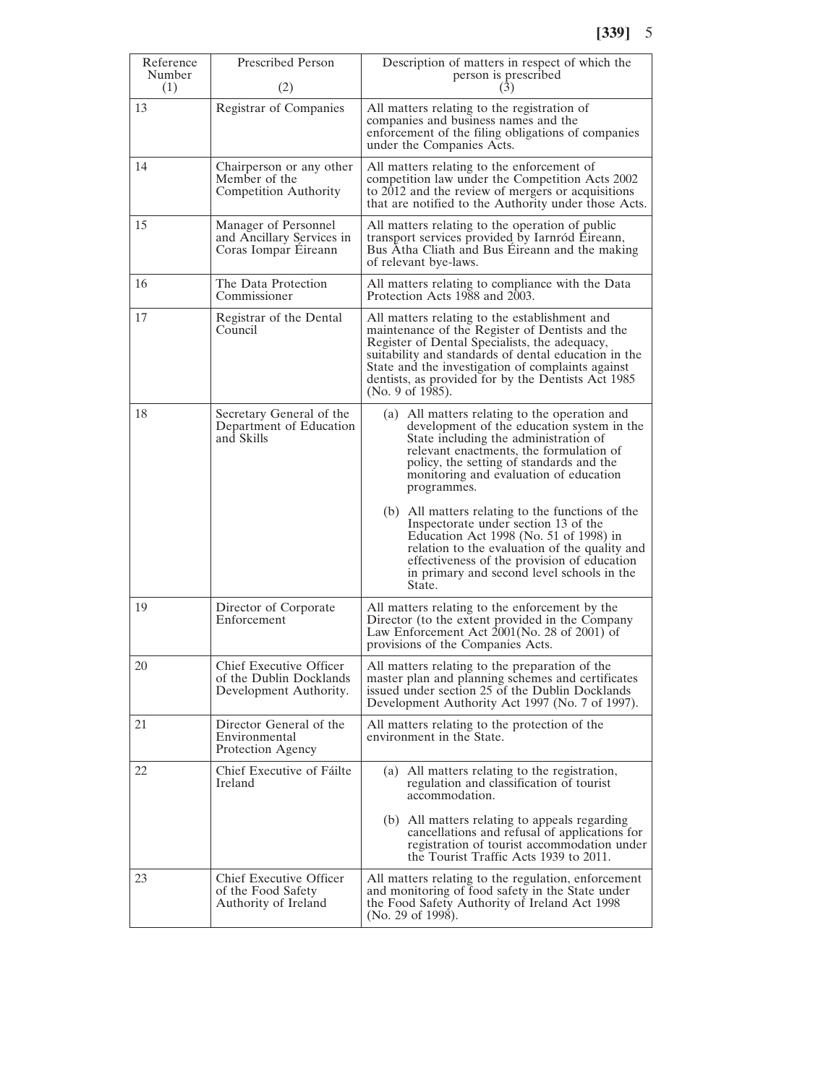| Reference<br>Number | <b>Prescribed Person</b>                                                     | Description of matters in respect of which the<br>person is prescribed                                                                                                                                                                                                                                                                   |
|---------------------|------------------------------------------------------------------------------|------------------------------------------------------------------------------------------------------------------------------------------------------------------------------------------------------------------------------------------------------------------------------------------------------------------------------------------|
| (1)                 | (2)                                                                          | (3)                                                                                                                                                                                                                                                                                                                                      |
| 13                  | Registrar of Companies                                                       | All matters relating to the registration of<br>companies and business names and the<br>enforcement of the filing obligations of companies<br>under the Companies Acts.                                                                                                                                                                   |
| 14                  | Chairperson or any other<br>Member of the<br>Competition Authority           | All matters relating to the enforcement of<br>competition law under the Competition Acts 2002<br>to 2012 and the review of mergers or acquisitions<br>that are notified to the Authority under those Acts.                                                                                                                               |
| 15                  | Manager of Personnel<br>and Ancillary Services in<br>Coras Iompar Eireann    | All matters relating to the operation of public<br>transport services provided by Iarnród Eireann,<br>Bus Atha Cliath and Bus Eireann and the making<br>of relevant bye-laws.                                                                                                                                                            |
| 16                  | The Data Protection<br>Commissioner                                          | All matters relating to compliance with the Data<br>Protection Acts 1988 and 2003.                                                                                                                                                                                                                                                       |
| 17                  | Registrar of the Dental<br>Council                                           | All matters relating to the establishment and<br>maintenance of the Register of Dentists and the<br>Register of Dental Specialists, the adequacy,<br>suitability and standards of dental education in the<br>State and the investigation of complaints against<br>dentists, as provided for by the Dentists Act 1985<br>(No. 9 of 1985). |
| 18                  | Secretary General of the<br>Department of Education<br>and Skills            | (a) All matters relating to the operation and<br>development of the education system in the<br>State including the administration of<br>relevant enactments, the formulation of<br>policy, the setting of standards and the<br>monitoring and evaluation of education<br>programmes.                                                     |
|                     |                                                                              | (b) All matters relating to the functions of the<br>Inspectorate under section 13 of the<br>Education Act 1998 (No. 51 of 1998) in<br>relation to the evaluation of the quality and<br>effectiveness of the provision of education<br>in primary and second level schools in the<br>State.                                               |
| 19                  | Director of Corporate<br>Enforcement                                         | All matters relating to the enforcement by the<br>Director (to the extent provided in the Company<br>Law Enforcement Act $2001$ (No. 28 of 2001) of<br>provisions of the Companies Acts.                                                                                                                                                 |
| 20                  | Chief Executive Officer<br>of the Dublin Docklands<br>Development Authority. | All matters relating to the preparation of the<br>master plan and planning schemes and certificates<br>issued under section 25 of the Dublin Docklands<br>Development Authority Act 1997 (No. 7 of 1997).                                                                                                                                |
| 21                  | Director General of the<br>Environmental<br>Protection Agency                | All matters relating to the protection of the<br>environment in the State.                                                                                                                                                                                                                                                               |
| 22                  | Chief Executive of Fáilte<br>Ireland                                         | (a) All matters relating to the registration,<br>regulation and classification of tourist<br>accommodation.                                                                                                                                                                                                                              |
|                     |                                                                              | (b) All matters relating to appeals regarding<br>cancellations and refusal of applications for<br>registration of tourist accommodation under<br>the Tourist Traffic Acts 1939 to 2011.                                                                                                                                                  |
| 23                  | Chief Executive Officer<br>of the Food Safety<br>Authority of Ireland        | All matters relating to the regulation, enforcement<br>and monitoring of food safety in the State under<br>the Food Safety Authority of Ireland Act 1998<br>(No. 29 of 1998).                                                                                                                                                            |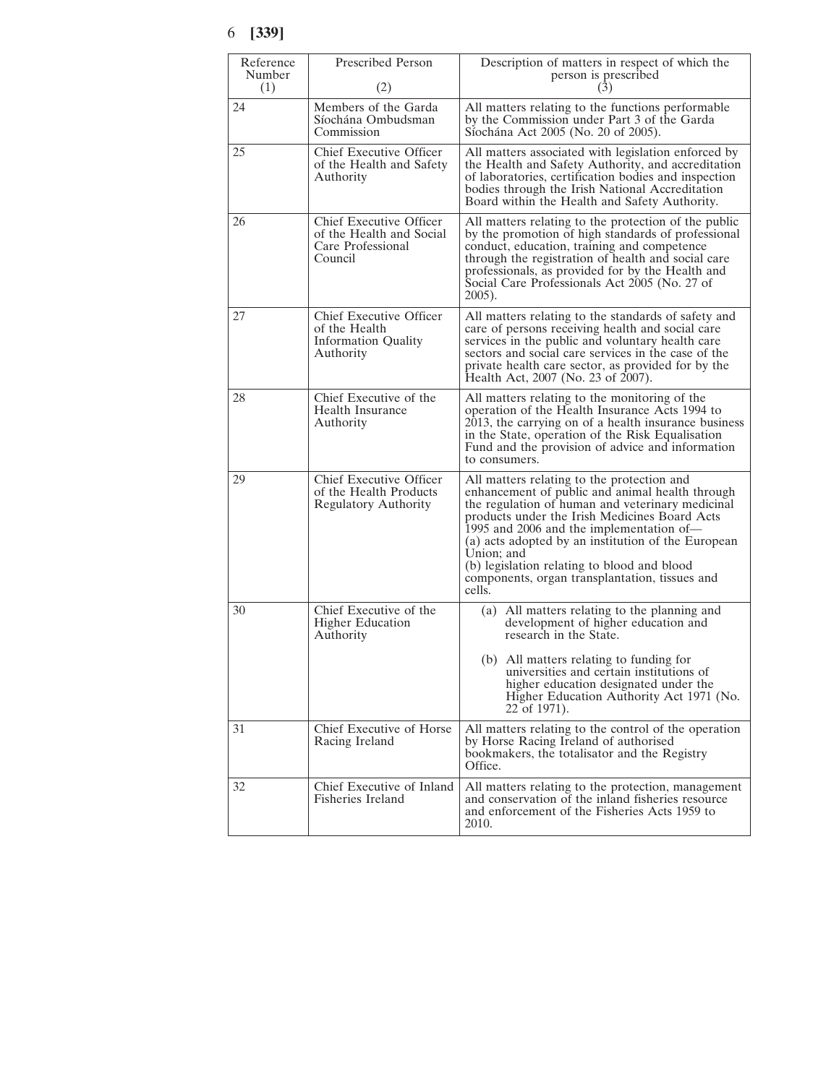| Reference<br>Number | <b>Prescribed Person</b>                                                            | Description of matters in respect of which the<br>person is prescribed                                                                                                                                                                                                                                                                                                                                                        |
|---------------------|-------------------------------------------------------------------------------------|-------------------------------------------------------------------------------------------------------------------------------------------------------------------------------------------------------------------------------------------------------------------------------------------------------------------------------------------------------------------------------------------------------------------------------|
| (1)<br>24           | (2)<br>Members of the Garda<br>Síochána Ombudsman<br>Commission                     | (3)<br>All matters relating to the functions performable.<br>by the Commission under Part 3 of the Garda<br>Síochána Act 2005 (No. 20 of 2005).                                                                                                                                                                                                                                                                               |
| 25                  | Chief Executive Officer<br>of the Health and Safety<br>Authority                    | All matters associated with legislation enforced by<br>the Health and Safety Authority, and accreditation<br>of laboratories, certification bodies and inspection<br>bodies through the Irish National Accreditation<br>Board within the Health and Safety Authority.                                                                                                                                                         |
| 26                  | Chief Executive Officer<br>of the Health and Social<br>Care Professional<br>Council | All matters relating to the protection of the public<br>by the promotion of high standards of professional<br>conduct, education, training and competence<br>through the registration of health and social care<br>professionals, as provided for by the Health and<br>Social Care Professionals Act 2005 (No. 27 of<br>2005).                                                                                                |
| 27                  | Chief Executive Officer<br>of the Health<br><b>Information Quality</b><br>Authority | All matters relating to the standards of safety and<br>care of persons receiving health and social care<br>services in the public and voluntary health care<br>sectors and social care services in the case of the<br>private health care sector, as provided for by the<br>Health Act, 2007 (No. 23 of 2007).                                                                                                                |
| 28                  | Chief Executive of the<br>Health Insurance<br>Authority                             | All matters relating to the monitoring of the<br>operation of the Health Insurance Acts 1994 to<br>2013, the carrying on of a health insurance business<br>in the State, operation of the Risk Equalisation<br>Fund and the provision of advice and information<br>to consumers.                                                                                                                                              |
| 29                  | Chief Executive Officer<br>of the Health Products<br><b>Regulatory Authority</b>    | All matters relating to the protection and<br>enhancement of public and animal health through<br>the regulation of human and veterinary medicinal<br>products under the Irish Medicines Board Acts<br>1995 and 2006 and the implementation of—<br>(a) acts adopted by an institution of the European<br>Union; and<br>(b) legislation relating to blood and blood<br>components, organ transplantation, tissues and<br>cells. |
| 30                  | Chief Executive of the<br><b>Higher Education</b><br>Authority                      | (a) All matters relating to the planning and<br>development of higher education and<br>research in the State.<br>(b) All matters relating to funding for<br>universities and certain institutions of<br>higher education designated under the<br>Higher Education Authority Act 1971 (No.<br>22 of 1971).                                                                                                                     |
| 31                  | Chief Executive of Horse<br>Racing Ireland                                          | All matters relating to the control of the operation<br>by Horse Racing Ireland of authorised<br>bookmakers, the totalisator and the Registry<br>Office.                                                                                                                                                                                                                                                                      |
| 32                  | Chief Executive of Inland<br>Fisheries Ireland                                      | All matters relating to the protection, management<br>and conservation of the inland fisheries resource<br>and enforcement of the Fisheries Acts 1959 to<br>2010.                                                                                                                                                                                                                                                             |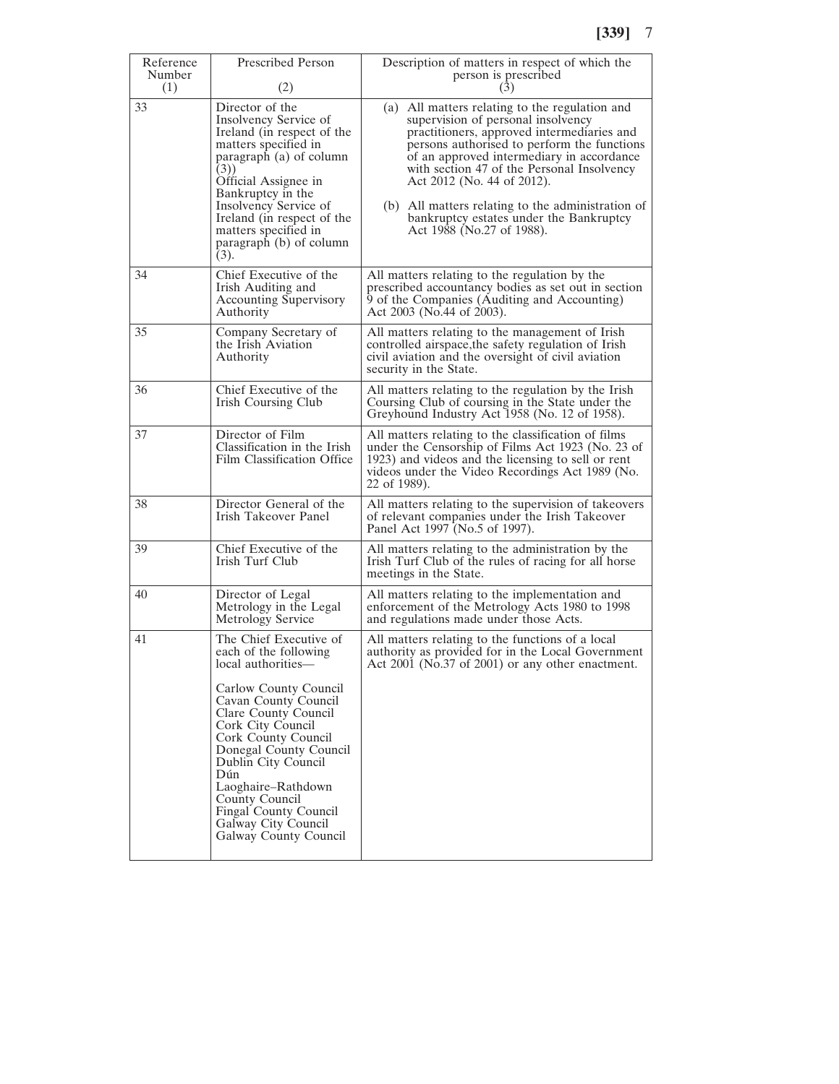| Reference     | <b>Prescribed Person</b>                                                                                                                                                                                                                                                                                                                                            | Description of matters in respect of which the                                                                                                                                                                                                                                                                                                                                                                                          |
|---------------|---------------------------------------------------------------------------------------------------------------------------------------------------------------------------------------------------------------------------------------------------------------------------------------------------------------------------------------------------------------------|-----------------------------------------------------------------------------------------------------------------------------------------------------------------------------------------------------------------------------------------------------------------------------------------------------------------------------------------------------------------------------------------------------------------------------------------|
| Number<br>(1) | (2)                                                                                                                                                                                                                                                                                                                                                                 | person is prescribed<br>(3)                                                                                                                                                                                                                                                                                                                                                                                                             |
| 33            | Director of the<br>Insolvency Service of<br>Ireland (in respect of the<br>matters specified in<br>paragraph (a) of column<br>(3))<br>Official Assignee in<br>Bankruptcy in the<br>Insolvency Service of<br>Ireland (in respect of the<br>matters specified in<br>paragraph (b) of column<br>(3).                                                                    | (a) All matters relating to the regulation and<br>supervision of personal insolvency<br>practitioners, approved intermediaries and<br>persons authorised to perform the functions<br>of an approved intermediary in accordance<br>with section 47 of the Personal Insolvency<br>Act 2012 (No. 44 of 2012).<br>(b) All matters relating to the administration of<br>bankruptcy estates under the Bankruptcy<br>Act 1988 (No.27 of 1988). |
| 34            | Chief Executive of the<br>Irish Auditing and<br>Accounting Supervisory<br>Authority                                                                                                                                                                                                                                                                                 | All matters relating to the regulation by the<br>prescribed accountancy bodies as set out in section<br>9 of the Companies (Auditing and Accounting)<br>Act 2003 (No.44 of 2003).                                                                                                                                                                                                                                                       |
| 35            | Company Secretary of<br>the Irish Aviation<br>Authority                                                                                                                                                                                                                                                                                                             | All matters relating to the management of Irish<br>controlled airspace, the safety regulation of Irish<br>civil aviation and the oversight of civil aviation<br>security in the State.                                                                                                                                                                                                                                                  |
| 36            | Chief Executive of the<br>Irish Coursing Club                                                                                                                                                                                                                                                                                                                       | All matters relating to the regulation by the Irish<br>Coursing Club of coursing in the State under the<br>Greyhound Industry Act 1958 (No. 12 of 1958).                                                                                                                                                                                                                                                                                |
| 37            | Director of Film<br>Classification in the Irish<br>Film Classification Office                                                                                                                                                                                                                                                                                       | All matters relating to the classification of films<br>under the Censorship of Films Act 1923 (No. 23 of<br>1923) and videos and the licensing to sell or rent<br>videos under the Video Recordings Act 1989 (No.<br>22 of 1989).                                                                                                                                                                                                       |
| 38            | Director General of the<br>Irish Takeover Panel                                                                                                                                                                                                                                                                                                                     | All matters relating to the supervision of takeovers<br>of relevant companies under the Irish Takeover<br>Panel Act 1997 (No.5 of 1997).                                                                                                                                                                                                                                                                                                |
| 39            | Chief Executive of the<br>Irish Turf Club                                                                                                                                                                                                                                                                                                                           | All matters relating to the administration by the<br>Irish Turf Club of the rules of racing for all horse<br>meetings in the State.                                                                                                                                                                                                                                                                                                     |
| 40            | Director of Legal<br>Metrology in the Legal<br>Metrology Service                                                                                                                                                                                                                                                                                                    | All matters relating to the implementation and<br>enforcement of the Metrology Acts 1980 to 1998<br>and regulations made under those Acts.                                                                                                                                                                                                                                                                                              |
| 41            | The Chief Executive of<br>each of the following<br>local authorities—<br>Carlow County Council<br>Cavan County Council<br>Clare County Council<br>Cork City Council<br>Cork County Council<br>Donegal County Council<br>Dublin City Council<br>Dún<br>Laoghaire–Rathdown<br>County Council<br>Fingal County Council<br>Galway City Council<br>Galway County Council | All matters relating to the functions of a local<br>authority as provided for in the Local Government<br>Act $2001$ (No.37 of $2001$ ) or any other enactment.                                                                                                                                                                                                                                                                          |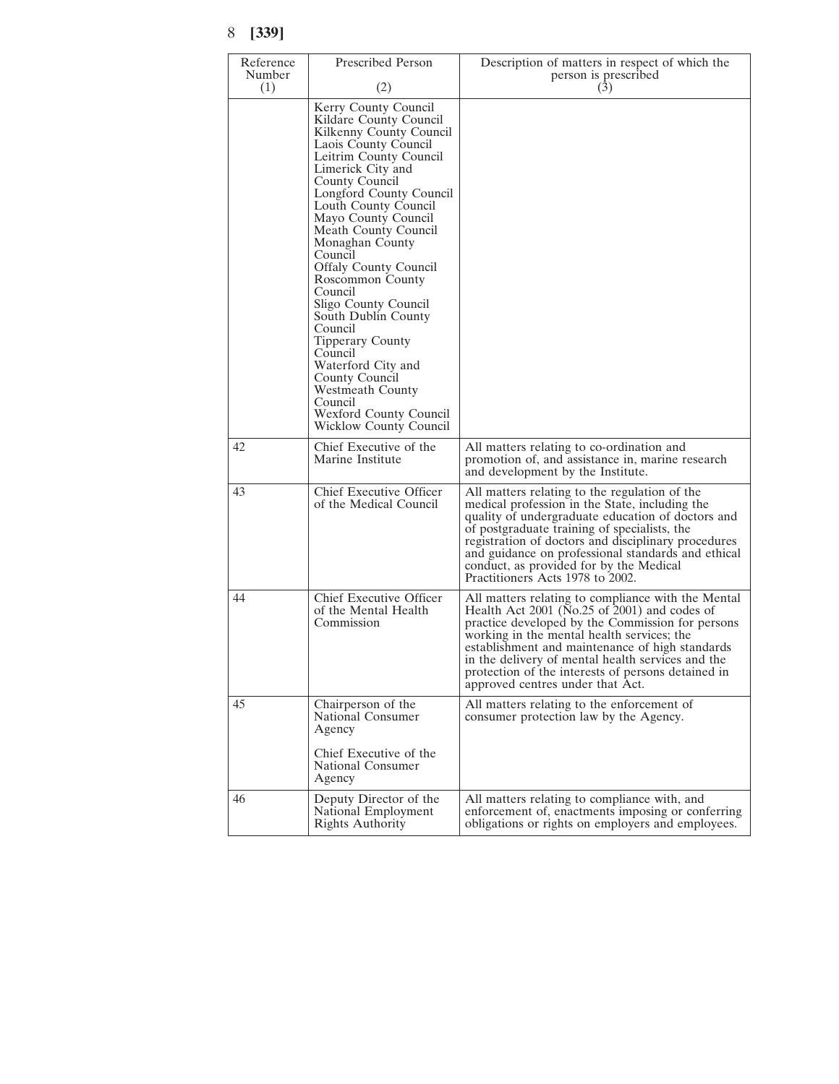| Reference<br>Number | Prescribed Person                                                                                                                                                                                                                                                                                                                                                                                                                                                                                                                                                                            | Description of matters in respect of which the<br>person is prescribed                                                                                                                                                                                                                                                                                                                                 |
|---------------------|----------------------------------------------------------------------------------------------------------------------------------------------------------------------------------------------------------------------------------------------------------------------------------------------------------------------------------------------------------------------------------------------------------------------------------------------------------------------------------------------------------------------------------------------------------------------------------------------|--------------------------------------------------------------------------------------------------------------------------------------------------------------------------------------------------------------------------------------------------------------------------------------------------------------------------------------------------------------------------------------------------------|
| (1)                 | (2)                                                                                                                                                                                                                                                                                                                                                                                                                                                                                                                                                                                          | (3)                                                                                                                                                                                                                                                                                                                                                                                                    |
|                     | Kerry County Council<br>Kildare County Council<br>Kilkenny County Council<br>Laois County Council<br>Leitrim County Council<br>Limerick City and<br>County Council<br>Longford County Council<br>Louth County Council<br>Mayo County Council<br>Meath County Council<br>Monaghan County<br>Council<br><b>Offaly County Council</b><br>Roscommon County<br>Council<br>Sligo County Council<br>South Dublin County<br>Council<br>Tipperary County<br>Council<br>Waterford City and<br>County Council<br>Westmeath County<br>Council<br>Wexford County Council<br><b>Wicklow County Council</b> |                                                                                                                                                                                                                                                                                                                                                                                                        |
| 42                  | Chief Executive of the<br>Marine Institute                                                                                                                                                                                                                                                                                                                                                                                                                                                                                                                                                   | All matters relating to co-ordination and<br>promotion of, and assistance in, marine research<br>and development by the Institute.                                                                                                                                                                                                                                                                     |
| 43                  | Chief Executive Officer<br>of the Medical Council                                                                                                                                                                                                                                                                                                                                                                                                                                                                                                                                            | All matters relating to the regulation of the<br>medical profession in the State, including the<br>quality of undergraduate education of doctors and<br>of postgraduate training of specialists, the<br>registration of doctors and disciplinary procedures<br>and guidance on professional standards and ethical<br>conduct, as provided for by the Medical<br>Practitioners Acts 1978 to 2002.       |
| 44                  | Chief Executive Officer<br>of the Mental Health<br>Commission                                                                                                                                                                                                                                                                                                                                                                                                                                                                                                                                | All matters relating to compliance with the Mental<br>Health Act 2001 (No.25 of 2001) and codes of<br>practice developed by the Commission for persons<br>working in the mental health services; the<br>establishment and maintenance of high standards<br>in the delivery of mental health services and the<br>protection of the interests of persons detained in<br>approved centres under that Act. |
| 45                  | Chairperson of the<br>National Consumer<br>Agency                                                                                                                                                                                                                                                                                                                                                                                                                                                                                                                                            | All matters relating to the enforcement of<br>consumer protection law by the Agency.                                                                                                                                                                                                                                                                                                                   |
|                     | Chief Executive of the<br>National Consumer<br>Agency                                                                                                                                                                                                                                                                                                                                                                                                                                                                                                                                        |                                                                                                                                                                                                                                                                                                                                                                                                        |
| 46                  | Deputy Director of the<br>National Employment<br>Rights Authority                                                                                                                                                                                                                                                                                                                                                                                                                                                                                                                            | All matters relating to compliance with, and<br>enforcement of, enactments imposing or conferring<br>obligations or rights on employers and employees.                                                                                                                                                                                                                                                 |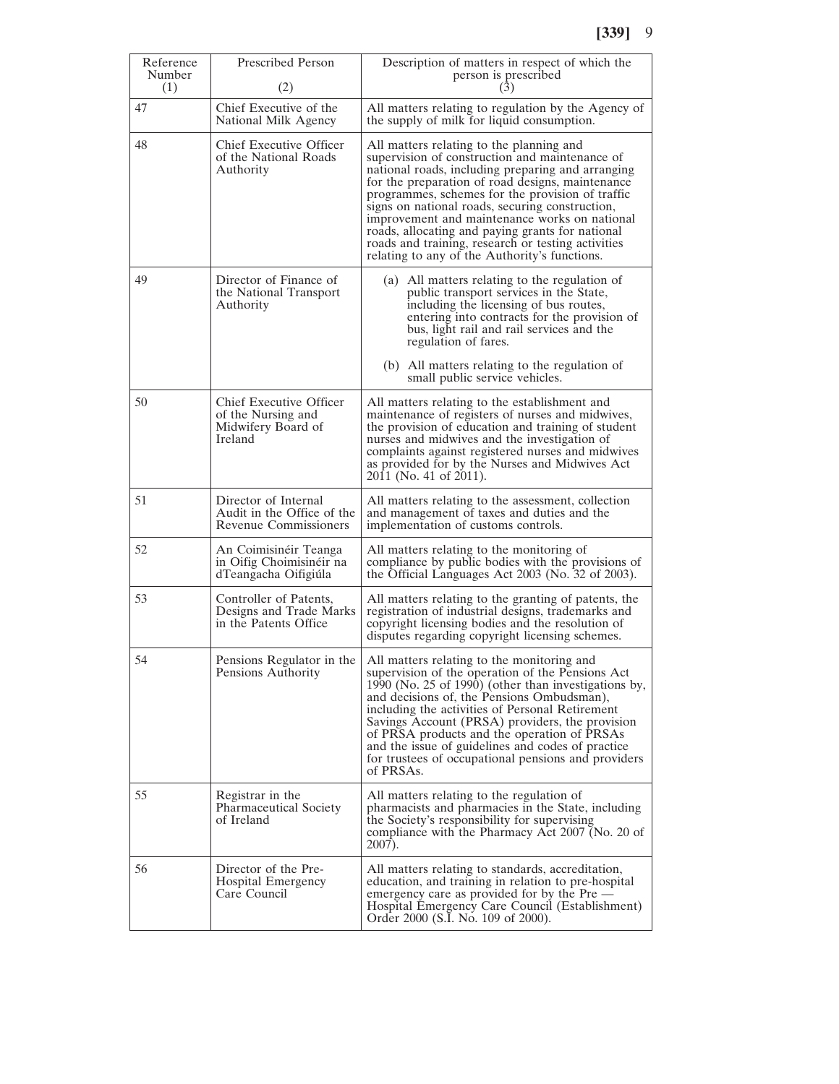| Reference     | <b>Prescribed Person</b>                                                       | Description of matters in respect of which the                                                                                                                                                                                                                                                                                                                                                                                                                                                                         |
|---------------|--------------------------------------------------------------------------------|------------------------------------------------------------------------------------------------------------------------------------------------------------------------------------------------------------------------------------------------------------------------------------------------------------------------------------------------------------------------------------------------------------------------------------------------------------------------------------------------------------------------|
| Number<br>(1) | (2)                                                                            | person is prescribed<br>(3)                                                                                                                                                                                                                                                                                                                                                                                                                                                                                            |
| 47            | Chief Executive of the<br>National Milk Agency                                 | All matters relating to regulation by the Agency of<br>the supply of milk for liquid consumption.                                                                                                                                                                                                                                                                                                                                                                                                                      |
| 48            | Chief Executive Officer<br>of the National Roads<br>Authority                  | All matters relating to the planning and<br>supervision of construction and maintenance of<br>national roads, including preparing and arranging<br>for the preparation of road designs, maintenance<br>programmes, schemes for the provision of traffic<br>signs on national roads, securing construction,<br>improvement and maintenance works on national<br>roads, allocating and paying grants for national<br>roads and training, research or testing activities<br>relating to any of the Authority's functions. |
| 49            | Director of Finance of<br>the National Transport<br>Authority                  | (a) All matters relating to the regulation of<br>public transport services in the State,<br>including the licensing of bus routes,<br>entering into contracts for the provision of<br>bus, light rail and rail services and the<br>regulation of fares.                                                                                                                                                                                                                                                                |
|               |                                                                                | (b) All matters relating to the regulation of<br>small public service vehicles.                                                                                                                                                                                                                                                                                                                                                                                                                                        |
| 50            | Chief Executive Officer<br>of the Nursing and<br>Midwifery Board of<br>Ireland | All matters relating to the establishment and<br>maintenance of registers of nurses and midwives,<br>the provision of education and training of student<br>nurses and midwives and the investigation of<br>complaints against registered nurses and midwives<br>as provided for by the Nurses and Midwives Act<br>2011 (No. 41 of 2011).                                                                                                                                                                               |
| 51            | Director of Internal<br>Audit in the Office of the<br>Revenue Commissioners    | All matters relating to the assessment, collection<br>and management of taxes and duties and the<br>implementation of customs controls.                                                                                                                                                                                                                                                                                                                                                                                |
| 52            | An Coimisinéir Teanga<br>in Oifig Choimisinéir na<br>dTeangacha Oifigiúla      | All matters relating to the monitoring of<br>compliance by public bodies with the provisions of<br>the Official Languages Act 2003 (No. 32 of 2003).                                                                                                                                                                                                                                                                                                                                                                   |
| 53            | Controller of Patents,<br>Designs and Trade Marks<br>in the Patents Office     | All matters relating to the granting of patents, the<br>registration of industrial designs, trademarks and<br>copyright licensing bodies and the resolution of<br>disputes regarding copyright licensing schemes.                                                                                                                                                                                                                                                                                                      |
| 54            | Pensions Regulator in the<br>Pensions Authority                                | All matters relating to the monitoring and<br>supervision of the operation of the Pensions Act<br>1990 (No. 25 of 1990) (other than investigations by,<br>and decisions of, the Pensions Ombudsman),<br>including the activities of Personal Retirement<br>Savings Account (PRSA) providers, the provision<br>of PRSA products and the operation of PRSAs<br>and the issue of guidelines and codes of practice<br>for trustees of occupational pensions and providers<br>of PRSAs.                                     |
| 55            | Registrar in the<br><b>Pharmaceutical Society</b><br>of Ireland                | All matters relating to the regulation of<br>pharmacists and pharmacies in the State, including<br>the Society's responsibility for supervising<br>compliance with the Pharmacy Act 2007 (No. 20 of<br>2007).                                                                                                                                                                                                                                                                                                          |
| 56            | Director of the Pre-<br>Hospital Emergency<br>Care Council                     | All matters relating to standards, accreditation,<br>education, and training in relation to pre-hospital<br>emergency care as provided for by the Pre —<br>Hospital Emergency Care Council (Establishment)<br>Order 2000 (S.I. No. 109 of 2000).                                                                                                                                                                                                                                                                       |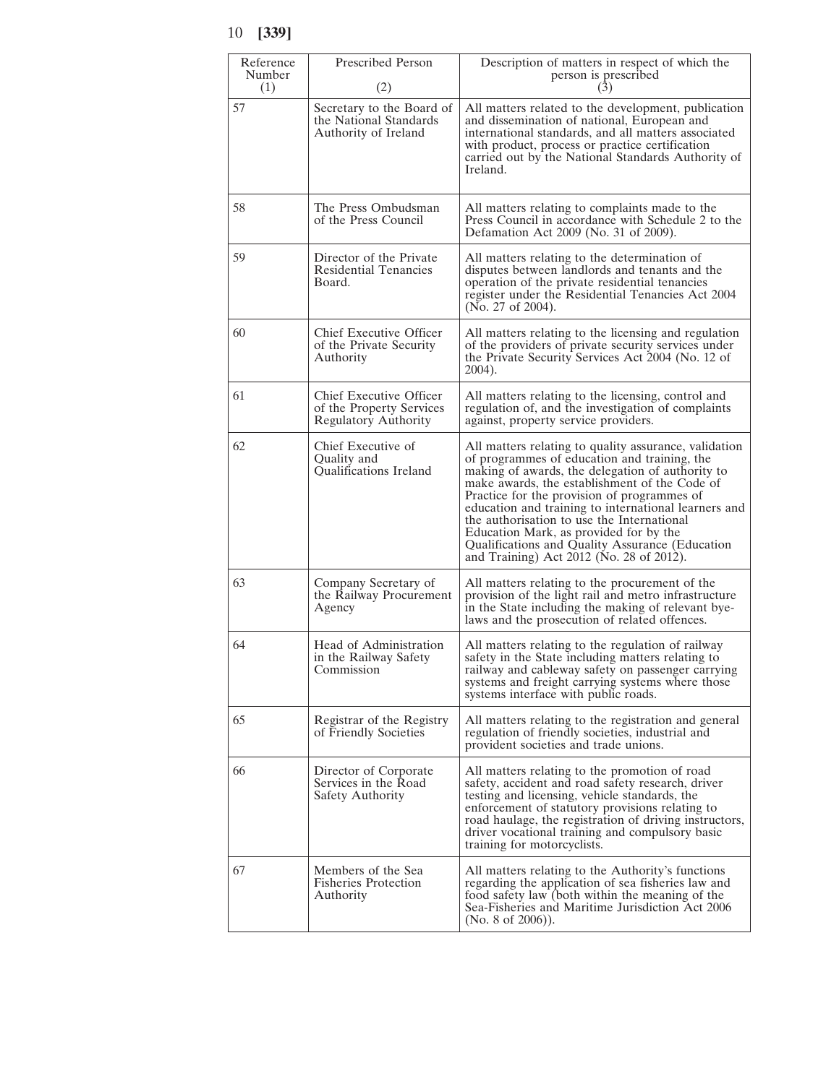| Reference<br>Number<br>(1) | <b>Prescribed Person</b><br>(2)                                                    | Description of matters in respect of which the<br>person is prescribed<br>(3)                                                                                                                                                                                                                                                                                                                                                                                                                            |
|----------------------------|------------------------------------------------------------------------------------|----------------------------------------------------------------------------------------------------------------------------------------------------------------------------------------------------------------------------------------------------------------------------------------------------------------------------------------------------------------------------------------------------------------------------------------------------------------------------------------------------------|
| 57                         | Secretary to the Board of<br>the National Standards<br>Authority of Ireland        | All matters related to the development, publication<br>and dissemination of national, European and<br>international standards, and all matters associated<br>with product, process or practice certification<br>carried out by the National Standards Authority of<br>Ireland.                                                                                                                                                                                                                           |
| 58                         | The Press Ombudsman<br>of the Press Council                                        | All matters relating to complaints made to the<br>Press Council in accordance with Schedule 2 to the<br>Defamation Act 2009 (No. 31 of 2009).                                                                                                                                                                                                                                                                                                                                                            |
| 59                         | Director of the Private<br><b>Residential Tenancies</b><br>Board.                  | All matters relating to the determination of<br>disputes between landlords and tenants and the<br>operation of the private residential tenancies<br>register under the Residential Tenancies Act 2004<br>(No. 27 of 2004).                                                                                                                                                                                                                                                                               |
| 60                         | Chief Executive Officer<br>of the Private Security<br>Authority                    | All matters relating to the licensing and regulation<br>of the providers of private security services under<br>the Private Security Services Act 2004 (No. 12 of<br>2004).                                                                                                                                                                                                                                                                                                                               |
| 61                         | Chief Executive Officer<br>of the Property Services<br><b>Regulatory Authority</b> | All matters relating to the licensing, control and<br>regulation of, and the investigation of complaints<br>against, property service providers.                                                                                                                                                                                                                                                                                                                                                         |
| 62                         | Chief Executive of<br>Quality and<br>Qualifications Ireland                        | All matters relating to quality assurance, validation<br>of programmes of education and training, the<br>making of awards, the delegation of authority to<br>make awards, the establishment of the Code of<br>Practice for the provision of programmes of<br>education and training to international learners and<br>the authorisation to use the International<br>Education Mark, as provided for by the<br>Qualifications and Quality Assurance (Education<br>and Training) Act 2012 (No. 28 of 2012). |
| 63                         | Company Secretary of<br>the Railway Procurement<br>Agency                          | All matters relating to the procurement of the<br>provision of the light rail and metro infrastructure<br>in the State including the making of relevant bye-<br>laws and the prosecution of related offences.                                                                                                                                                                                                                                                                                            |
| 64                         | Head of Administration<br>in the Railway Safety<br>Commission                      | All matters relating to the regulation of railway<br>safety in the State including matters relating to<br>railway and cableway safety on passenger carrying<br>systems and freight carrying systems where those<br>systems interface with public roads.                                                                                                                                                                                                                                                  |
| 65                         | Registrar of the Registry<br>of Friendly Societies                                 | All matters relating to the registration and general<br>regulation of friendly societies, industrial and<br>provident societies and trade unions.                                                                                                                                                                                                                                                                                                                                                        |
| 66                         | Director of Corporate<br>Services in the Road<br>Safety Authority                  | All matters relating to the promotion of road<br>safety, accident and road safety research, driver<br>testing and licensing, vehicle standards, the<br>enforcement of statutory provisions relating to<br>road haulage, the registration of driving instructors,<br>driver vocational training and compulsory basic<br>training for motorcyclists.                                                                                                                                                       |
| 67                         | Members of the Sea<br><b>Fisheries Protection</b><br>Authority                     | All matters relating to the Authority's functions<br>regarding the application of sea fisheries law and<br>food safety law (both within the meaning of the<br>Sea-Fisheries and Maritime Jurisdiction Act 2006<br>(No. 8 of 2006)).                                                                                                                                                                                                                                                                      |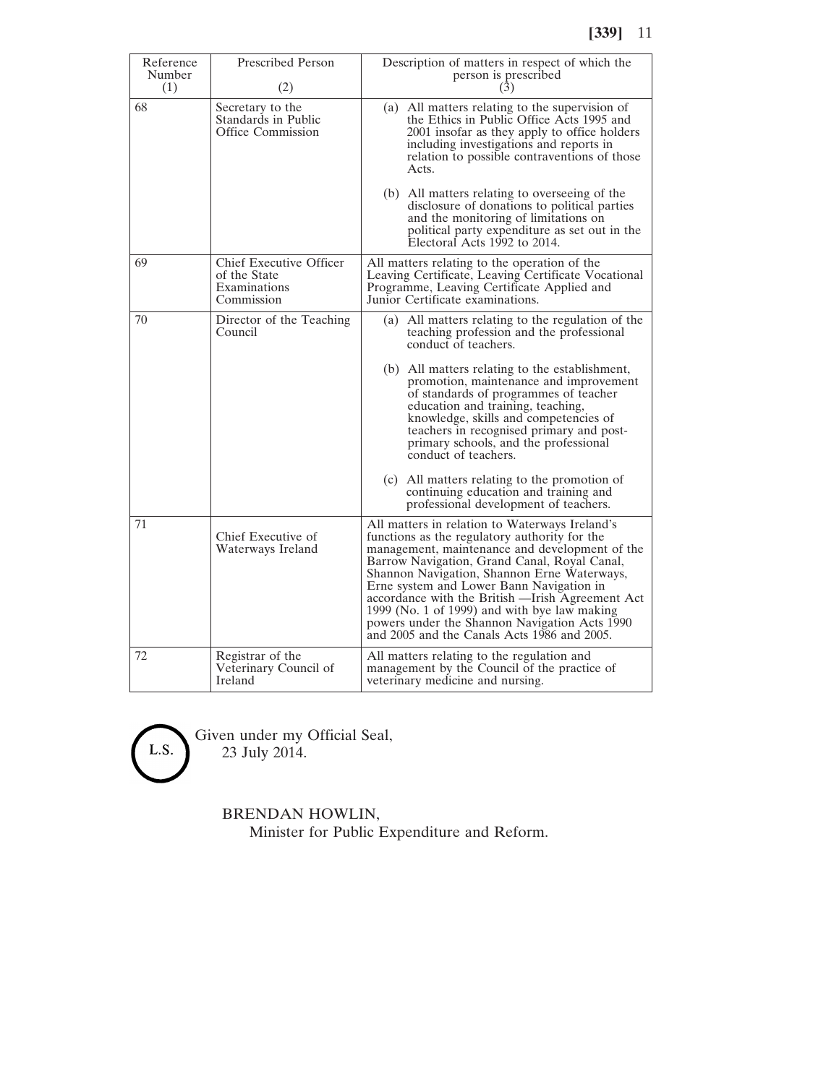| Reference<br>Number<br>(1) | Prescribed Person<br>(2)                                              | Description of matters in respect of which the<br>person is prescribed<br>(3)                                                                                                                                                                                                                                                                                                                                                                                                                     |
|----------------------------|-----------------------------------------------------------------------|---------------------------------------------------------------------------------------------------------------------------------------------------------------------------------------------------------------------------------------------------------------------------------------------------------------------------------------------------------------------------------------------------------------------------------------------------------------------------------------------------|
| 68                         | Secretary to the<br>Standards in Public<br>Office Commission          | (a) All matters relating to the supervision of<br>the Ethics in Public Office Acts 1995 and<br>2001 insofar as they apply to office holders<br>including investigations and reports in<br>relation to possible contraventions of those<br>Acts.                                                                                                                                                                                                                                                   |
|                            |                                                                       | (b) All matters relating to overseeing of the<br>disclosure of donations to political parties<br>and the monitoring of limitations on<br>political party expenditure as set out in the<br>Electoral Acts 1992 to 2014.                                                                                                                                                                                                                                                                            |
| 69                         | Chief Executive Officer<br>of the State<br>Examinations<br>Commission | All matters relating to the operation of the<br>Leaving Certificate, Leaving Certificate Vocational<br>Programme, Leaving Certificate Applied and<br>Junior Certificate examinations.                                                                                                                                                                                                                                                                                                             |
| 70                         | Director of the Teaching<br>Council                                   | (a) All matters relating to the regulation of the<br>teaching profession and the professional<br>conduct of teachers.                                                                                                                                                                                                                                                                                                                                                                             |
|                            |                                                                       | (b) All matters relating to the establishment,<br>promotion, maintenance and improvement<br>of standards of programmes of teacher<br>education and training, teaching,<br>knowledge, skills and competencies of<br>teachers in recognised primary and post-<br>primary schools, and the professional<br>conduct of teachers.                                                                                                                                                                      |
|                            |                                                                       | (c) All matters relating to the promotion of<br>continuing education and training and<br>professional development of teachers.                                                                                                                                                                                                                                                                                                                                                                    |
| 71                         | Chief Executive of<br>Waterways Ireland                               | All matters in relation to Waterways Ireland's<br>functions as the regulatory authority for the<br>management, maintenance and development of the<br>Barrow Navigation, Grand Canal, Royal Canal,<br>Shannon Navigation, Shannon Erne Waterways,<br>Erne system and Lower Bann Navigation in<br>accordance with the British - Irish Agreement Act<br>1999 (No. 1 of 1999) and with bye law making<br>powers under the Shannon Navigation Acts 1990<br>and 2005 and the Canals Acts 1986 and 2005. |
| 72                         | Registrar of the<br>Veterinary Council of<br>Ireland                  | All matters relating to the regulation and<br>management by the Council of the practice of<br>veterinary medicine and nursing.                                                                                                                                                                                                                                                                                                                                                                    |



Given under my Official Seal, 23 July 2014.

BRENDAN HOWLIN,

Minister for Public Expenditure and Reform.